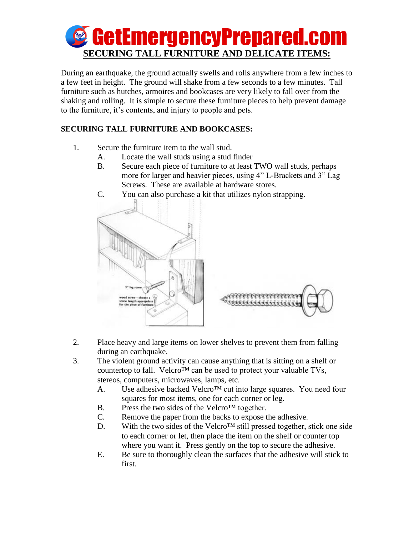

During an earthquake, the ground actually swells and rolls anywhere from a few inches to a few feet in height. The ground will shake from a few seconds to a few minutes. Tall furniture such as hutches, armoires and bookcases are very likely to fall over from the shaking and rolling. It is simple to secure these furniture pieces to help prevent damage to the furniture, it's contents, and injury to people and pets.

## **SECURING TALL FURNITURE AND BOOKCASES:**

- 1. Secure the furniture item to the wall stud.
	- A. Locate the wall studs using a stud finder
	- B. Secure each piece of furniture to at least TWO wall studs, perhaps more for larger and heavier pieces, using 4" L-Brackets and 3" Lag Screws. These are available at hardware stores.
	- C. You can also purchase a kit that utilizes nylon strapping.



- 2. Place heavy and large items on lower shelves to prevent them from falling during an earthquake.
- 3. The violent ground activity can cause anything that is sitting on a shelf or countertop to fall. Velcro<sup>™</sup> can be used to protect your valuable TVs, stereos, computers, microwaves, lamps, etc.
	- A. Use adhesive backed Velcro™ cut into large squares. You need four squares for most items, one for each corner or leg.
	- B. Press the two sides of the Velcro<sup>TM</sup> together.
	- C. Remove the paper from the backs to expose the adhesive.
	- D. With the two sides of the Velcro™ still pressed together, stick one side to each corner or let, then place the item on the shelf or counter top where you want it. Press gently on the top to secure the adhesive.
	- E. Be sure to thoroughly clean the surfaces that the adhesive will stick to first.